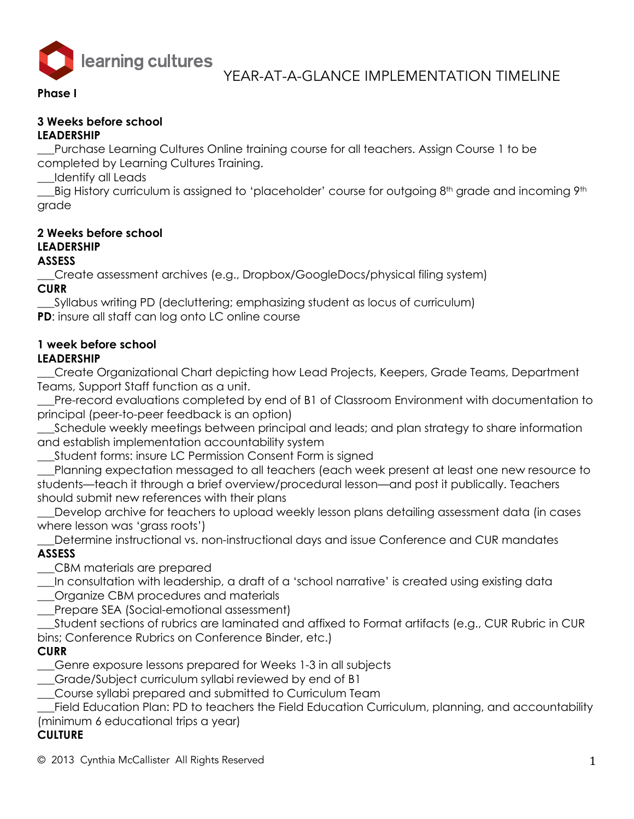

### **Phase I**

#### **3 Weeks before school LEADERSHIP**

Purchase Learning Cultures Online training course for all teachers. Assign Course 1 to be completed by Learning Cultures Training.

\_\_\_Identify all Leads

Labig History curriculum is assigned to 'placeholder' course for outgoing 8<sup>th</sup> grade and incoming 9<sup>th</sup> grade

#### **2 Weeks before school LEADERSHIP ASSESS**

\_\_\_Create assessment archives (e.g., Dropbox/GoogleDocs/physical filing system) **CURR**

\_\_\_Syllabus writing PD (decluttering; emphasizing student as locus of curriculum) **PD**: insure all staff can log onto LC online course

# **1 week before school**

# **LEADERSHIP**

\_\_\_Create Organizational Chart depicting how Lead Projects, Keepers, Grade Teams, Department Teams, Support Staff function as a unit.

Pre-record evaluations completed by end of B1 of Classroom Environment with documentation to principal (peer-to-peer feedback is an option)

\_\_\_Schedule weekly meetings between principal and leads; and plan strategy to share information and establish implementation accountability system

Student forms: insure LC Permission Consent Form is signed

\_\_\_Planning expectation messaged to all teachers (each week present at least one new resource to students—teach it through a brief overview/procedural lesson—and post it publically. Teachers should submit new references with their plans

Develop archive for teachers to upload weekly lesson plans detailing assessment data (in cases where lesson was 'grass roots')

\_\_\_Determine instructional vs. non-instructional days and issue Conference and CUR mandates **ASSESS**

\_\_\_CBM materials are prepared

\_\_\_In consultation with leadership, a draft of a 'school narrative' is created using existing data \_\_\_Organize CBM procedures and materials

\_\_\_Prepare SEA (Social-emotional assessment)

\_\_\_Student sections of rubrics are laminated and affixed to Format artifacts (e.g., CUR Rubric in CUR bins; Conference Rubrics on Conference Binder, etc.)

# **CURR**

\_\_\_Genre exposure lessons prepared for Weeks 1-3 in all subjects

\_\_\_Grade/Subject curriculum syllabi reviewed by end of B1

\_\_\_Course syllabi prepared and submitted to Curriculum Team

Field Education Plan: PD to teachers the Field Education Curriculum, planning, and accountability (minimum 6 educational trips a year)

# **CULTURE**

 $\odot$  2013 Cynthia McCallister All Rights Reserved 1  $\,$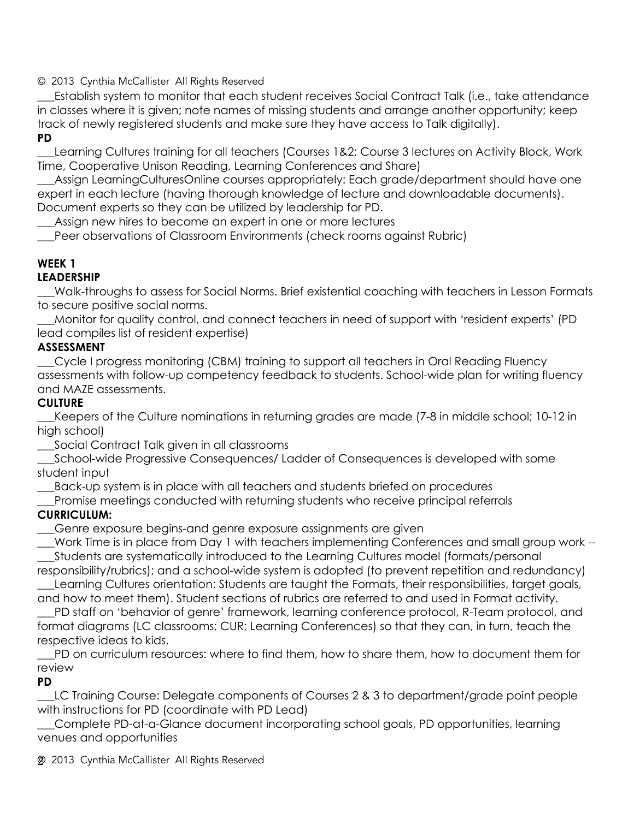\_\_\_Establish system to monitor that each student receives Social Contract Talk (i.e., take attendance in classes where it is given; note names of missing students and arrange another opportunity; keep track of newly registered students and make sure they have access to Talk digitally). **PD**

\_\_\_Learning Cultures training for all teachers (Courses 1&2; Course 3 lectures on Activity Block, Work Time, Cooperative Unison Reading, Learning Conferences and Share)

Assign LearningCulturesOnline courses appropriately: Each grade/department should have one expert in each lecture (having thorough knowledge of lecture and downloadable documents). Document experts so they can be utilized by leadership for PD.

Assign new hires to become an expert in one or more lectures

Peer observations of Classroom Environments (check rooms against Rubric)

### **WEEK 1**

### **LEADERSHIP**

\_\_\_Walk-throughs to assess for Social Norms. Brief existential coaching with teachers in Lesson Formats to secure positive social norms.

\_\_\_Monitor for quality control, and connect teachers in need of support with 'resident experts' (PD lead compiles list of resident expertise)

### **ASSESSMENT**

\_\_\_Cycle I progress monitoring (CBM) training to support all teachers in Oral Reading Fluency assessments with follow-up competency feedback to students. School-wide plan for writing fluency and MAZE assessments.

### **CULTURE**

\_\_\_Keepers of the Culture nominations in returning grades are made (7-8 in middle school; 10-12 in high school)

\_\_\_Social Contract Talk given in all classrooms

\_\_\_School-wide Progressive Consequences/ Ladder of Consequences is developed with some student input

\_\_\_Back-up system is in place with all teachers and students briefed on procedures

Promise meetings conducted with returning students who receive principal referrals

### **CURRICULUM:**

\_\_\_Genre exposure begins-and genre exposure assignments are given

\_\_\_Work Time is in place from Day 1 with teachers implementing Conferences and small group work -- \_\_\_Students are systematically introduced to the Learning Cultures model (formats/personal

responsibility/rubrics); and a school-wide system is adopted (to prevent repetition and redundancy) \_\_\_Learning Cultures orientation: Students are taught the Formats, their responsibilities, target goals,

and how to meet them). Student sections of rubrics are referred to and used in Format activity. \_\_\_PD staff on 'behavior of genre' framework, learning conference protocol, R-Team protocol, and format diagrams (LC classrooms; CUR; Learning Conferences) so that they can, in turn, teach the respective ideas to kids.

\_\_\_PD on curriculum resources: where to find them, how to share them, how to document them for review

### **PD**

LC Training Course: Delegate components of Courses 2 & 3 to department/grade point people with instructions for PD (coordinate with PD Lead)

\_\_\_Complete PD-at-a-Glance document incorporating school goals, PD opportunities, learning venues and opportunities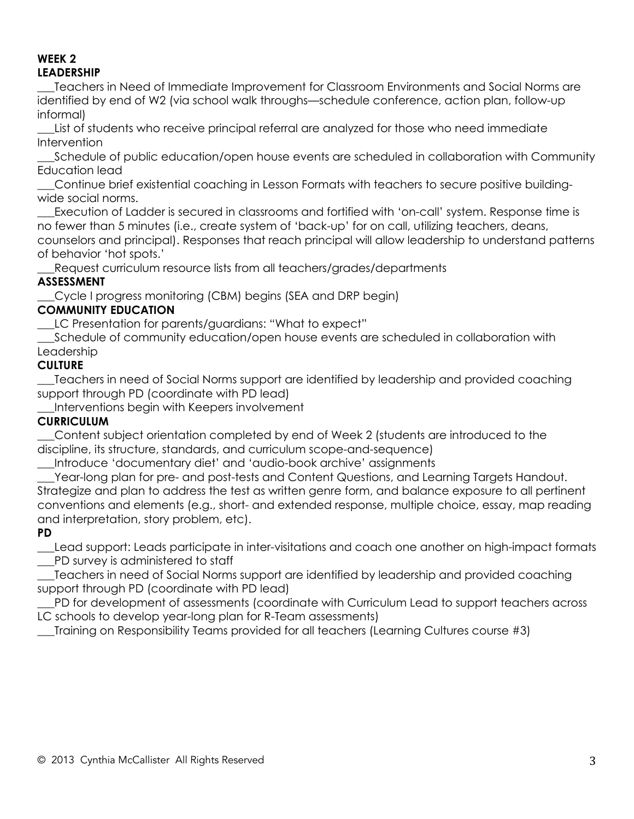#### **WEEK 2 LEADERSHIP**

\_\_\_Teachers in Need of Immediate Improvement for Classroom Environments and Social Norms are identified by end of W2 (via school walk throughs—schedule conference, action plan, follow-up informal)

\_\_\_List of students who receive principal referral are analyzed for those who need immediate **Intervention** 

Schedule of public education/open house events are scheduled in collaboration with Community Education lead

\_\_\_Continue brief existential coaching in Lesson Formats with teachers to secure positive buildingwide social norms.

\_\_\_Execution of Ladder is secured in classrooms and fortified with 'on-call' system. Response time is no fewer than 5 minutes (i.e., create system of 'back-up' for on call, utilizing teachers, deans, counselors and principal). Responses that reach principal will allow leadership to understand patterns of behavior 'hot spots.'

Request curriculum resource lists from all teachers/grades/departments

# **ASSESSMENT**

\_\_\_Cycle I progress monitoring (CBM) begins (SEA and DRP begin)

# **COMMUNITY EDUCATION**

\_\_\_LC Presentation for parents/guardians: "What to expect"

\_\_\_Schedule of community education/open house events are scheduled in collaboration with Leadership

# **CULTURE**

\_\_\_Teachers in need of Social Norms support are identified by leadership and provided coaching support through PD (coordinate with PD lead)

\_\_\_Interventions begin with Keepers involvement

# **CURRICULUM**

\_\_\_Content subject orientation completed by end of Week 2 (students are introduced to the discipline, its structure, standards, and curriculum scope-and-sequence)

\_\_\_Introduce 'documentary diet' and 'audio-book archive' assignments

Year-long plan for pre- and post-tests and Content Questions, and Learning Targets Handout. Strategize and plan to address the test as written genre form, and balance exposure to all pertinent conventions and elements (e.g., short- and extended response, multiple choice, essay, map reading and interpretation, story problem, etc).

# **PD**

\_\_\_Lead support: Leads participate in inter-visitations and coach one another on high-impact formats \_\_\_PD survey is administered to staff

\_\_\_Teachers in need of Social Norms support are identified by leadership and provided coaching support through PD (coordinate with PD lead)

\_\_\_PD for development of assessments (coordinate with Curriculum Lead to support teachers across LC schools to develop year-long plan for R-Team assessments)

\_\_\_Training on Responsibility Teams provided for all teachers (Learning Cultures course #3)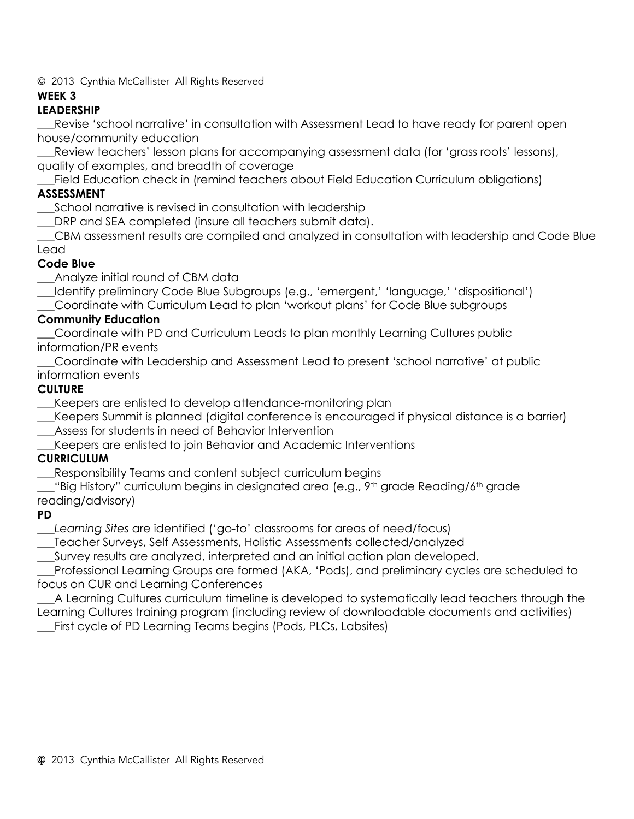### **WEEK 3**

# **LEADERSHIP**

\_\_\_Revise 'school narrative' in consultation with Assessment Lead to have ready for parent open house/community education

**\_\_\_**Review teachers' lesson plans for accompanying assessment data (for 'grass roots' lessons), quality of examples, and breadth of coverage

Field Education check in (remind teachers about Field Education Curriculum obligations)

### **ASSESSMENT**

School narrative is revised in consultation with leadership

\_\_\_DRP and SEA completed (insure all teachers submit data).

\_\_\_CBM assessment results are compiled and analyzed in consultation with leadership and Code Blue Lead

### **Code Blue**

\_\_\_Analyze initial round of CBM data

\_\_\_Identify preliminary Code Blue Subgroups (e.g., 'emergent,' 'language,' 'dispositional')

\_\_\_Coordinate with Curriculum Lead to plan 'workout plans' for Code Blue subgroups

### **Community Education**

\_\_\_Coordinate with PD and Curriculum Leads to plan monthly Learning Cultures public information/PR events

\_\_\_Coordinate with Leadership and Assessment Lead to present 'school narrative' at public information events

# **CULTURE**

Keepers are enlisted to develop attendance-monitoring plan

\_\_\_Keepers Summit is planned (digital conference is encouraged if physical distance is a barrier)

- \_\_\_Assess for students in need of Behavior Intervention
- \_\_\_Keepers are enlisted to join Behavior and Academic Interventions

# **CURRICULUM**

\_\_\_Responsibility Teams and content subject curriculum begins

"Big History" curriculum begins in designated area (e.g.,  $9<sup>th</sup>$  grade Reading/6<sup>th</sup> grade reading/advisory)

### **PD**

\_\_\_*Learning Sites* are identified ('go-to' classrooms for areas of need/focus)

\_\_\_Teacher Surveys, Self Assessments, Holistic Assessments collected/analyzed

\_\_\_Survey results are analyzed, interpreted and an initial action plan developed.

\_\_\_Professional Learning Groups are formed (AKA, 'Pods), and preliminary cycles are scheduled to focus on CUR and Learning Conferences

\_\_\_A Learning Cultures curriculum timeline is developed to systematically lead teachers through the Learning Cultures training program (including review of downloadable documents and activities) \_\_\_First cycle of PD Learning Teams begins (Pods, PLCs, Labsites)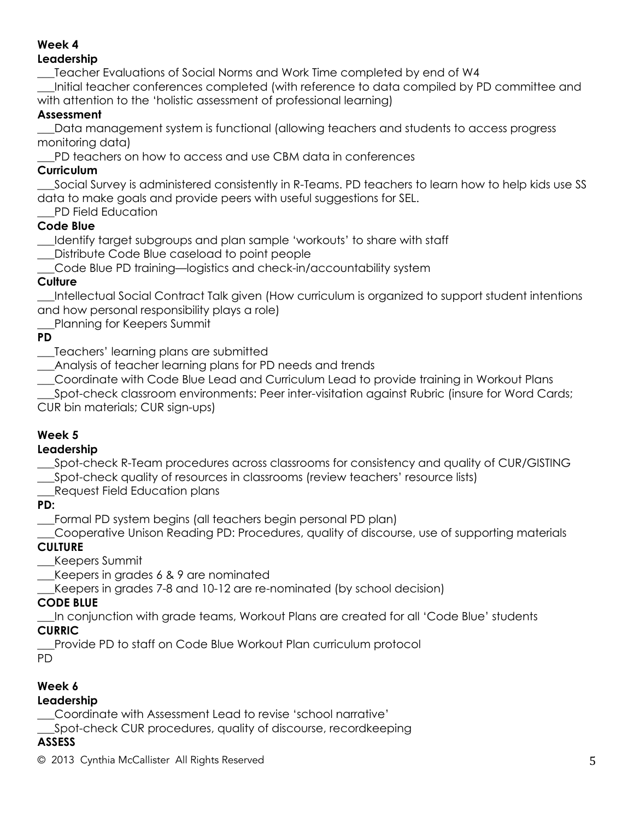#### **Week 4 Leadership**

\_\_\_Teacher Evaluations of Social Norms and Work Time completed by end of W4

\_\_\_Initial teacher conferences completed (with reference to data compiled by PD committee and with attention to the 'holistic assessment of professional learning)

# **Assessment**

\_\_\_Data management system is functional (allowing teachers and students to access progress monitoring data)

\_\_\_PD teachers on how to access and use CBM data in conferences

# **Curriculum**

\_\_\_Social Survey is administered consistently in R-Teams. PD teachers to learn how to help kids use SS data to make goals and provide peers with useful suggestions for SEL.

PD Field Education

# **Code Blue**

\_\_\_Identify target subgroups and plan sample 'workouts' to share with staff

\_\_\_Distribute Code Blue caseload to point people

\_\_\_Code Blue PD training—logistics and check-in/accountability system

# **Culture**

\_\_\_Intellectual Social Contract Talk given (How curriculum is organized to support student intentions and how personal responsibility plays a role)

Planning for Keepers Summit

# **PD**

\_\_\_Teachers' learning plans are submitted

\_\_\_Analysis of teacher learning plans for PD needs and trends

\_\_\_Coordinate with Code Blue Lead and Curriculum Lead to provide training in Workout Plans

\_\_\_Spot-check classroom environments: Peer inter-visitation against Rubric (insure for Word Cards; CUR bin materials; CUR sign-ups)

# **Week 5**

# **Leadership**

\_\_\_Spot-check R-Team procedures across classrooms for consistency and quality of CUR/GISTING

\_\_\_Spot-check quality of resources in classrooms (review teachers' resource lists)

\_\_\_Request Field Education plans

**PD:** 

\_\_\_Formal PD system begins (all teachers begin personal PD plan)

\_\_\_Cooperative Unison Reading PD: Procedures, quality of discourse, use of supporting materials **CULTURE**

\_\_\_Keepers Summit

\_\_\_Keepers in grades 6 & 9 are nominated

\_\_\_Keepers in grades 7-8 and 10-12 are re-nominated (by school decision)

# **CODE BLUE**

\_\_\_In conjunction with grade teams, Workout Plans are created for all 'Code Blue' students

# **CURRIC**

\_\_\_Provide PD to staff on Code Blue Workout Plan curriculum protocol

PD

# **Week 6**

# **Leadership**

\_\_\_Coordinate with Assessment Lead to revise 'school narrative'

\_\_\_Spot-check CUR procedures, quality of discourse, recordkeeping

# **ASSESS**

 $\degree$  2013 Cynthia McCallister All Rights Reserved  $5$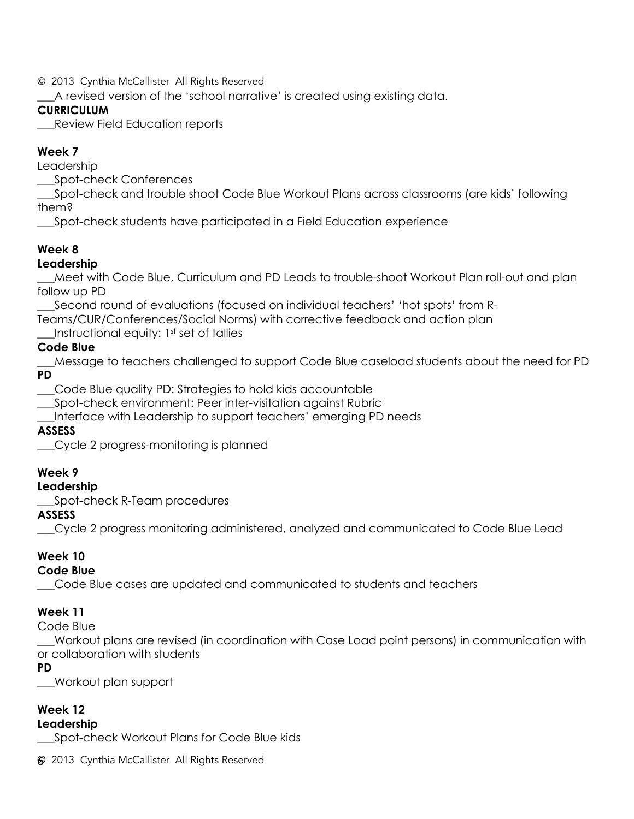\_\_\_A revised version of the 'school narrative' is created using existing data.

# **CURRICULUM**

\_\_\_Review Field Education reports

# **Week 7**

Leadership

\_\_\_Spot-check Conferences

\_\_\_Spot-check and trouble shoot Code Blue Workout Plans across classrooms (are kids' following them?

\_\_\_Spot-check students have participated in a Field Education experience

# **Week 8**

# **Leadership**

\_\_\_Meet with Code Blue, Curriculum and PD Leads to trouble-shoot Workout Plan roll-out and plan follow up PD

\_\_\_Second round of evaluations (focused on individual teachers' 'hot spots' from R-

Teams/CUR/Conferences/Social Norms) with corrective feedback and action plan

Instructional equity:  $1<sup>st</sup>$  set of tallies

# **Code Blue**

\_\_\_Message to teachers challenged to support Code Blue caseload students about the need for PD **PD**

\_\_\_Code Blue quality PD: Strategies to hold kids accountable

\_\_\_Spot-check environment: Peer inter-visitation against Rubric

\_\_\_Interface with Leadership to support teachers' emerging PD needs

# **ASSESS**

\_\_\_Cycle 2 progress-monitoring is planned

### **Week 9**

**Leadership**

\_\_\_Spot-check R-Team procedures

# **ASSESS**

\_\_\_Cycle 2 progress monitoring administered, analyzed and communicated to Code Blue Lead

# **Week 10**

# **Code Blue**

\_\_\_Code Blue cases are updated and communicated to students and teachers

### **Week 11**

Code Blue

\_\_\_Workout plans are revised (in coordination with Case Load point persons) in communication with or collaboration with students

### **PD**

\_\_\_Workout plan support

# **Week 12**

### **Leadership**

\_\_\_Spot-check Workout Plans for Code Blue kids

© 2013 Cynthia McCallister All Rights Reserved 6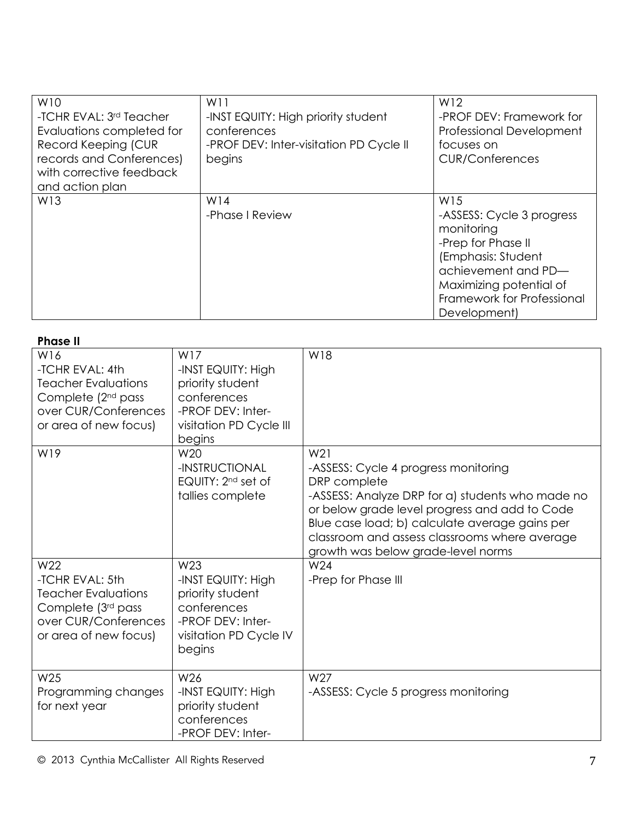| W10<br>-TCHR EVAL: 3rd Teacher<br>Evaluations completed for<br>Record Keeping (CUR<br>records and Conferences)<br>with corrective feedback<br>and action plan | W11<br>-INST EQUITY: High priority student<br>conferences<br>-PROF DEV: Inter-visitation PD Cycle II<br>begins | W12<br>-PROF DEV: Framework for<br><b>Professional Development</b><br>focuses on<br><b>CUR/Conferences</b>                                                                                 |
|---------------------------------------------------------------------------------------------------------------------------------------------------------------|----------------------------------------------------------------------------------------------------------------|--------------------------------------------------------------------------------------------------------------------------------------------------------------------------------------------|
| W13                                                                                                                                                           | W14<br>-Phase I Review                                                                                         | W15<br>-ASSESS: Cycle 3 progress<br>monitoring<br>-Prep for Phase II<br>(Emphasis: Student<br>achievement and PD-<br>Maximizing potential of<br>Framework for Professional<br>Development) |

| <b>Phase II</b> |                                                                                                                                         |                                                                                                                                   |                                                                                                                                                                                                                                                                                                                       |  |  |  |
|-----------------|-----------------------------------------------------------------------------------------------------------------------------------------|-----------------------------------------------------------------------------------------------------------------------------------|-----------------------------------------------------------------------------------------------------------------------------------------------------------------------------------------------------------------------------------------------------------------------------------------------------------------------|--|--|--|
|                 | W16<br>-TCHR EVAL: 4th<br><b>Teacher Evaluations</b><br>Complete (2 <sup>nd</sup> pass<br>over CUR/Conferences<br>or area of new focus) | W17<br>-INST EQUITY: High<br>priority student<br>conferences<br>-PROF DEV: Inter-<br>visitation PD Cycle III<br>begins            | W18                                                                                                                                                                                                                                                                                                                   |  |  |  |
|                 | W19                                                                                                                                     | W20<br>-INSTRUCTIONAL<br>EQUITY: 2 <sup>nd</sup> set of<br>tallies complete                                                       | W <sub>21</sub><br>-ASSESS: Cycle 4 progress monitoring<br>DRP complete<br>-ASSESS: Analyze DRP for a) students who made no<br>or below grade level progress and add to Code<br>Blue case load; b) calculate average gains per<br>classroom and assess classrooms where average<br>growth was below grade-level norms |  |  |  |
|                 | W22<br>-TCHR EVAL: 5th<br><b>Teacher Evaluations</b><br>Complete (3rd pass<br>over CUR/Conferences<br>or area of new focus)             | W <sub>23</sub><br>-INST EQUITY: High<br>priority student<br>conferences<br>-PROF DEV: Inter-<br>visitation PD Cycle IV<br>begins | W24<br>-Prep for Phase III                                                                                                                                                                                                                                                                                            |  |  |  |
|                 | W25<br>Programming changes<br>for next year                                                                                             | W26<br>-INST EQUITY: High<br>priority student<br>conferences<br>-PROF DEV: Inter-                                                 | W27<br>-ASSESS: Cycle 5 progress monitoring                                                                                                                                                                                                                                                                           |  |  |  |